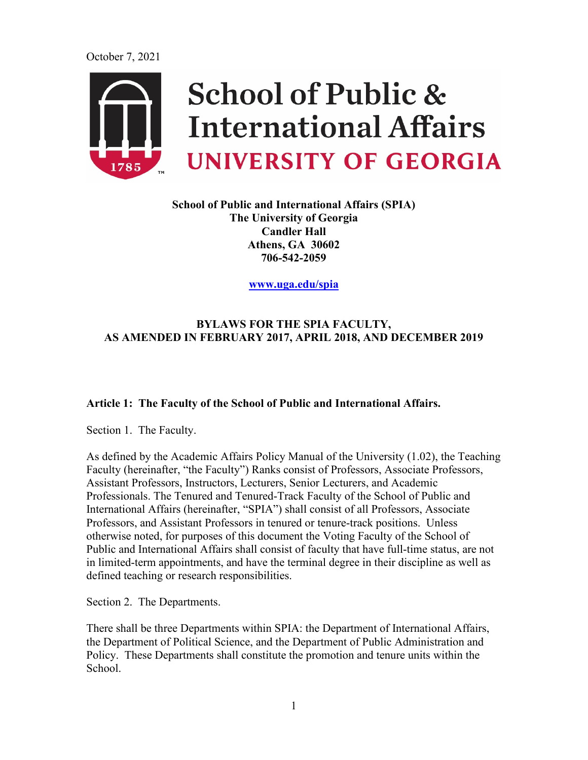

**School of Public and International Affairs (SPIA) The University of Georgia Candler Hall Athens, GA 30602 706-542-2059**

**[www.uga.edu/spia](http://www.uga.edu/spia)**

# **BYLAWS FOR THE SPIA FACULTY, AS AMENDED IN FEBRUARY 2017, APRIL 2018, AND DECEMBER 2019**

#### **Article 1: The Faculty of the School of Public and International Affairs.**

Section 1. The Faculty.

As defined by the Academic Affairs Policy Manual of the University (1.02), the Teaching Faculty (hereinafter, "the Faculty") Ranks consist of Professors, Associate Professors, Assistant Professors, Instructors, Lecturers, Senior Lecturers, and Academic Professionals. The Tenured and Tenured-Track Faculty of the School of Public and International Affairs (hereinafter, "SPIA") shall consist of all Professors, Associate Professors, and Assistant Professors in tenured or tenure-track positions. Unless otherwise noted, for purposes of this document the Voting Faculty of the School of Public and International Affairs shall consist of faculty that have full-time status, are not in limited-term appointments, and have the terminal degree in their discipline as well as defined teaching or research responsibilities.

Section 2. The Departments.

There shall be three Departments within SPIA: the Department of International Affairs, the Department of Political Science, and the Department of Public Administration and Policy. These Departments shall constitute the promotion and tenure units within the School.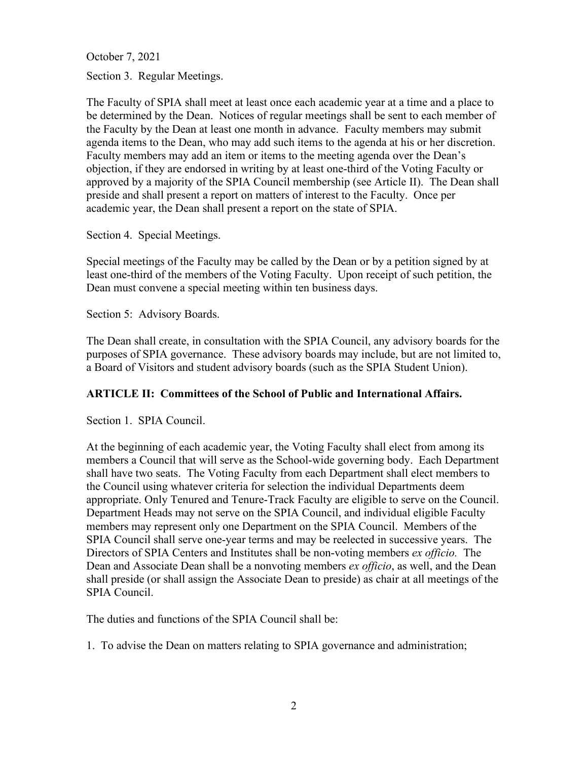Section 3. Regular Meetings.

The Faculty of SPIA shall meet at least once each academic year at a time and a place to be determined by the Dean. Notices of regular meetings shall be sent to each member of the Faculty by the Dean at least one month in advance. Faculty members may submit agenda items to the Dean, who may add such items to the agenda at his or her discretion. Faculty members may add an item or items to the meeting agenda over the Dean's objection, if they are endorsed in writing by at least one-third of the Voting Faculty or approved by a majority of the SPIA Council membership (see Article II). The Dean shall preside and shall present a report on matters of interest to the Faculty. Once per academic year, the Dean shall present a report on the state of SPIA.

Section 4. Special Meetings.

Special meetings of the Faculty may be called by the Dean or by a petition signed by at least one-third of the members of the Voting Faculty. Upon receipt of such petition, the Dean must convene a special meeting within ten business days.

Section 5: Advisory Boards.

The Dean shall create, in consultation with the SPIA Council, any advisory boards for the purposes of SPIA governance. These advisory boards may include, but are not limited to, a Board of Visitors and student advisory boards (such as the SPIA Student Union).

#### **ARTICLE II: Committees of the School of Public and International Affairs.**

Section 1. SPIA Council.

At the beginning of each academic year, the Voting Faculty shall elect from among its members a Council that will serve as the School-wide governing body. Each Department shall have two seats. The Voting Faculty from each Department shall elect members to the Council using whatever criteria for selection the individual Departments deem appropriate. Only Tenured and Tenure-Track Faculty are eligible to serve on the Council. Department Heads may not serve on the SPIA Council, and individual eligible Faculty members may represent only one Department on the SPIA Council. Members of the SPIA Council shall serve one-year terms and may be reelected in successive years. The Directors of SPIA Centers and Institutes shall be non-voting members *ex officio.* The Dean and Associate Dean shall be a nonvoting members *ex officio*, as well, and the Dean shall preside (or shall assign the Associate Dean to preside) as chair at all meetings of the SPIA Council.

The duties and functions of the SPIA Council shall be:

1. To advise the Dean on matters relating to SPIA governance and administration;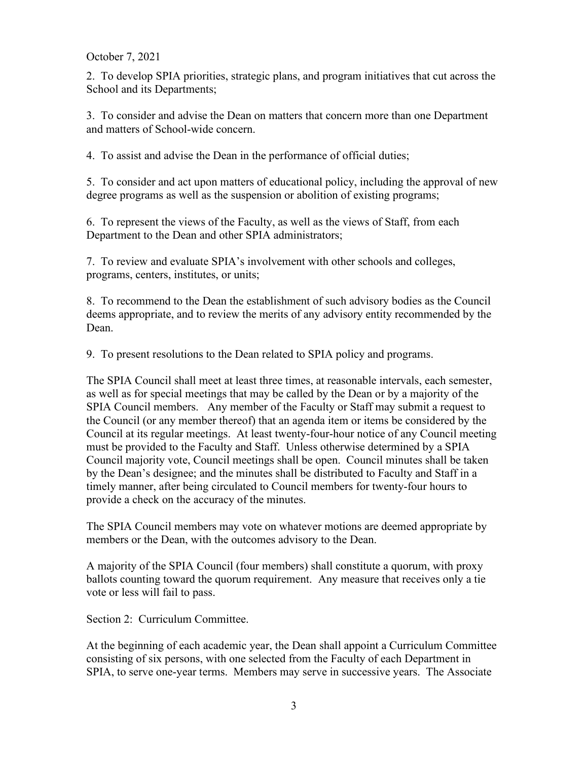2. To develop SPIA priorities, strategic plans, and program initiatives that cut across the School and its Departments;

3. To consider and advise the Dean on matters that concern more than one Department and matters of School-wide concern.

4. To assist and advise the Dean in the performance of official duties;

5. To consider and act upon matters of educational policy, including the approval of new degree programs as well as the suspension or abolition of existing programs;

6. To represent the views of the Faculty, as well as the views of Staff, from each Department to the Dean and other SPIA administrators;

7. To review and evaluate SPIA's involvement with other schools and colleges, programs, centers, institutes, or units;

8. To recommend to the Dean the establishment of such advisory bodies as the Council deems appropriate, and to review the merits of any advisory entity recommended by the Dean.

9. To present resolutions to the Dean related to SPIA policy and programs.

The SPIA Council shall meet at least three times, at reasonable intervals, each semester, as well as for special meetings that may be called by the Dean or by a majority of the SPIA Council members. Any member of the Faculty or Staff may submit a request to the Council (or any member thereof) that an agenda item or items be considered by the Council at its regular meetings. At least twenty-four-hour notice of any Council meeting must be provided to the Faculty and Staff. Unless otherwise determined by a SPIA Council majority vote, Council meetings shall be open. Council minutes shall be taken by the Dean's designee; and the minutes shall be distributed to Faculty and Staff in a timely manner, after being circulated to Council members for twenty-four hours to provide a check on the accuracy of the minutes.

The SPIA Council members may vote on whatever motions are deemed appropriate by members or the Dean, with the outcomes advisory to the Dean.

A majority of the SPIA Council (four members) shall constitute a quorum, with proxy ballots counting toward the quorum requirement. Any measure that receives only a tie vote or less will fail to pass.

Section 2: Curriculum Committee.

At the beginning of each academic year, the Dean shall appoint a Curriculum Committee consisting of six persons, with one selected from the Faculty of each Department in SPIA, to serve one-year terms. Members may serve in successive years. The Associate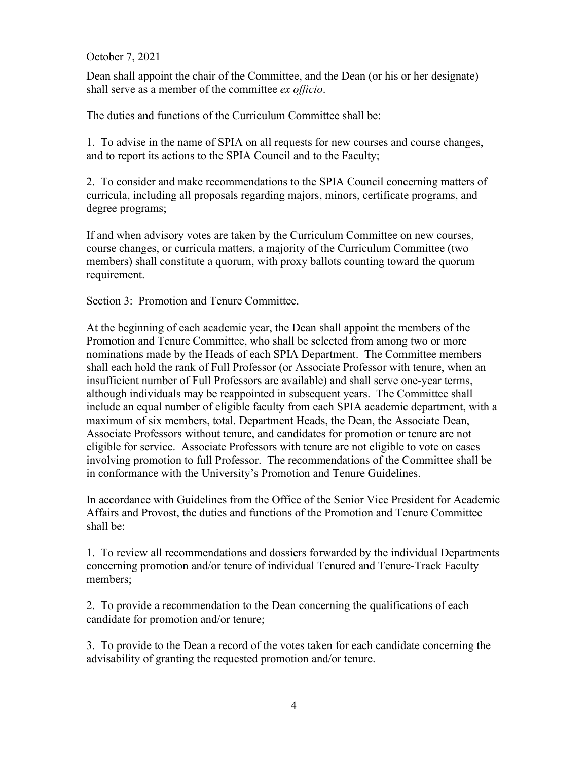Dean shall appoint the chair of the Committee, and the Dean (or his or her designate) shall serve as a member of the committee *ex officio*.

The duties and functions of the Curriculum Committee shall be:

1. To advise in the name of SPIA on all requests for new courses and course changes, and to report its actions to the SPIA Council and to the Faculty;

2. To consider and make recommendations to the SPIA Council concerning matters of curricula, including all proposals regarding majors, minors, certificate programs, and degree programs;

If and when advisory votes are taken by the Curriculum Committee on new courses, course changes, or curricula matters, a majority of the Curriculum Committee (two members) shall constitute a quorum, with proxy ballots counting toward the quorum requirement.

Section 3: Promotion and Tenure Committee.

At the beginning of each academic year, the Dean shall appoint the members of the Promotion and Tenure Committee, who shall be selected from among two or more nominations made by the Heads of each SPIA Department. The Committee members shall each hold the rank of Full Professor (or Associate Professor with tenure, when an insufficient number of Full Professors are available) and shall serve one-year terms, although individuals may be reappointed in subsequent years. The Committee shall include an equal number of eligible faculty from each SPIA academic department, with a maximum of six members, total. Department Heads, the Dean, the Associate Dean, Associate Professors without tenure, and candidates for promotion or tenure are not eligible for service. Associate Professors with tenure are not eligible to vote on cases involving promotion to full Professor. The recommendations of the Committee shall be in conformance with the University's Promotion and Tenure Guidelines.

In accordance with Guidelines from the Office of the Senior Vice President for Academic Affairs and Provost, the duties and functions of the Promotion and Tenure Committee shall be:

1. To review all recommendations and dossiers forwarded by the individual Departments concerning promotion and/or tenure of individual Tenured and Tenure-Track Faculty members;

2. To provide a recommendation to the Dean concerning the qualifications of each candidate for promotion and/or tenure;

3. To provide to the Dean a record of the votes taken for each candidate concerning the advisability of granting the requested promotion and/or tenure.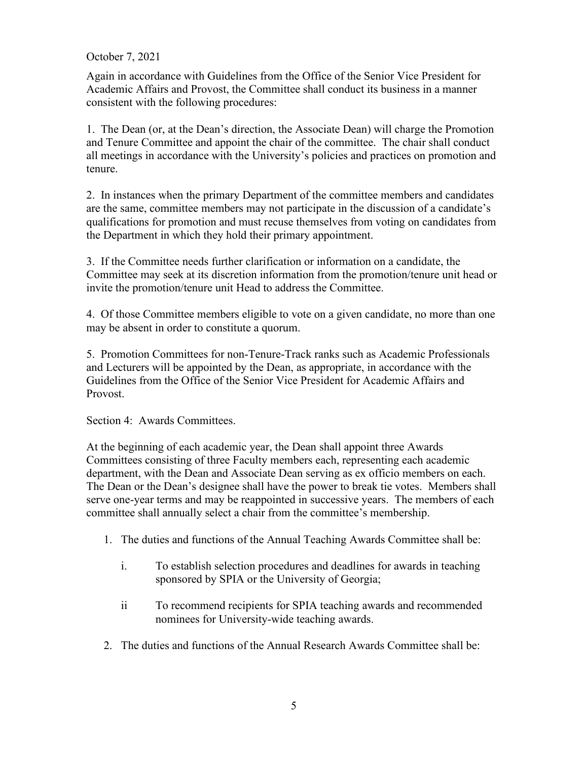Again in accordance with Guidelines from the Office of the Senior Vice President for Academic Affairs and Provost, the Committee shall conduct its business in a manner consistent with the following procedures:

1. The Dean (or, at the Dean's direction, the Associate Dean) will charge the Promotion and Tenure Committee and appoint the chair of the committee. The chair shall conduct all meetings in accordance with the University's policies and practices on promotion and tenure.

2. In instances when the primary Department of the committee members and candidates are the same, committee members may not participate in the discussion of a candidate's qualifications for promotion and must recuse themselves from voting on candidates from the Department in which they hold their primary appointment.

3. If the Committee needs further clarification or information on a candidate, the Committee may seek at its discretion information from the promotion/tenure unit head or invite the promotion/tenure unit Head to address the Committee.

4. Of those Committee members eligible to vote on a given candidate, no more than one may be absent in order to constitute a quorum.

5. Promotion Committees for non-Tenure-Track ranks such as Academic Professionals and Lecturers will be appointed by the Dean, as appropriate, in accordance with the Guidelines from the Office of the Senior Vice President for Academic Affairs and **Provost** 

Section 4: Awards Committees.

At the beginning of each academic year, the Dean shall appoint three Awards Committees consisting of three Faculty members each, representing each academic department, with the Dean and Associate Dean serving as ex officio members on each. The Dean or the Dean's designee shall have the power to break tie votes. Members shall serve one-year terms and may be reappointed in successive years. The members of each committee shall annually select a chair from the committee's membership.

- 1. The duties and functions of the Annual Teaching Awards Committee shall be:
	- i. To establish selection procedures and deadlines for awards in teaching sponsored by SPIA or the University of Georgia;
	- ii To recommend recipients for SPIA teaching awards and recommended nominees for University-wide teaching awards.
- 2. The duties and functions of the Annual Research Awards Committee shall be: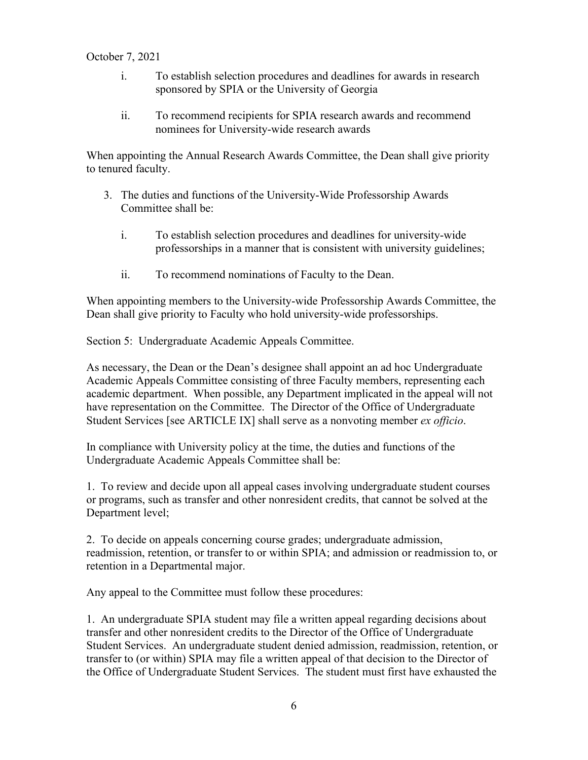- i. To establish selection procedures and deadlines for awards in research sponsored by SPIA or the University of Georgia
- ii. To recommend recipients for SPIA research awards and recommend nominees for University-wide research awards

When appointing the Annual Research Awards Committee, the Dean shall give priority to tenured faculty.

- 3. The duties and functions of the University-Wide Professorship Awards Committee shall be:
	- i. To establish selection procedures and deadlines for university-wide professorships in a manner that is consistent with university guidelines;
	- ii. To recommend nominations of Faculty to the Dean.

When appointing members to the University-wide Professorship Awards Committee, the Dean shall give priority to Faculty who hold university-wide professorships.

Section 5: Undergraduate Academic Appeals Committee.

As necessary, the Dean or the Dean's designee shall appoint an ad hoc Undergraduate Academic Appeals Committee consisting of three Faculty members, representing each academic department. When possible, any Department implicated in the appeal will not have representation on the Committee. The Director of the Office of Undergraduate Student Services [see ARTICLE IX] shall serve as a nonvoting member *ex officio*.

In compliance with University policy at the time, the duties and functions of the Undergraduate Academic Appeals Committee shall be:

1. To review and decide upon all appeal cases involving undergraduate student courses or programs, such as transfer and other nonresident credits, that cannot be solved at the Department level;

2. To decide on appeals concerning course grades; undergraduate admission, readmission, retention, or transfer to or within SPIA; and admission or readmission to, or retention in a Departmental major.

Any appeal to the Committee must follow these procedures:

1. An undergraduate SPIA student may file a written appeal regarding decisions about transfer and other nonresident credits to the Director of the Office of Undergraduate Student Services. An undergraduate student denied admission, readmission, retention, or transfer to (or within) SPIA may file a written appeal of that decision to the Director of the Office of Undergraduate Student Services. The student must first have exhausted the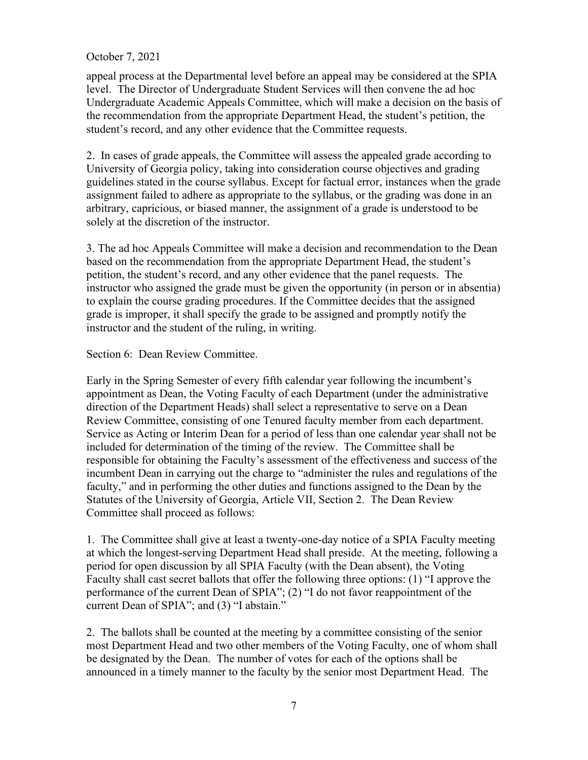appeal process at the Departmental level before an appeal may be considered at the SPIA level. The Director of Undergraduate Student Services will then convene the ad hoc Undergraduate Academic Appeals Committee, which will make a decision on the basis of the recommendation from the appropriate Department Head, the student's petition, the student's record, and any other evidence that the Committee requests.

2. In cases of grade appeals, the Committee will assess the appealed grade according to University of Georgia policy, taking into consideration course objectives and grading guidelines stated in the course syllabus. Except for factual error, instances when the grade assignment failed to adhere as appropriate to the syllabus, or the grading was done in an arbitrary, capricious, or biased manner, the assignment of a grade is understood to be solely at the discretion of the instructor.

3. The ad hoc Appeals Committee will make a decision and recommendation to the Dean based on the recommendation from the appropriate Department Head, the student's petition, the student's record, and any other evidence that the panel requests. The instructor who assigned the grade must be given the opportunity (in person or in absentia) to explain the course grading procedures. If the Committee decides that the assigned grade is improper, it shall specify the grade to be assigned and promptly notify the instructor and the student of the ruling, in writing.

Section 6: Dean Review Committee.

Early in the Spring Semester of every fifth calendar year following the incumbent's appointment as Dean, the Voting Faculty of each Department (under the administrative direction of the Department Heads) shall select a representative to serve on a Dean Review Committee, consisting of one Tenured faculty member from each department. Service as Acting or Interim Dean for a period of less than one calendar year shall not be included for determination of the timing of the review. The Committee shall be responsible for obtaining the Faculty's assessment of the effectiveness and success of the incumbent Dean in carrying out the charge to "administer the rules and regulations of the faculty," and in performing the other duties and functions assigned to the Dean by the Statutes of the University of Georgia, Article VII, Section 2. The Dean Review Committee shall proceed as follows:

1. The Committee shall give at least a twenty-one-day notice of a SPIA Faculty meeting at which the longest-serving Department Head shall preside. At the meeting, following a period for open discussion by all SPIA Faculty (with the Dean absent), the Voting Faculty shall cast secret ballots that offer the following three options: (1) "I approve the performance of the current Dean of SPIA"; (2) "I do not favor reappointment of the current Dean of SPIA"; and (3) "I abstain."

2. The ballots shall be counted at the meeting by a committee consisting of the senior most Department Head and two other members of the Voting Faculty, one of whom shall be designated by the Dean. The number of votes for each of the options shall be announced in a timely manner to the faculty by the senior most Department Head. The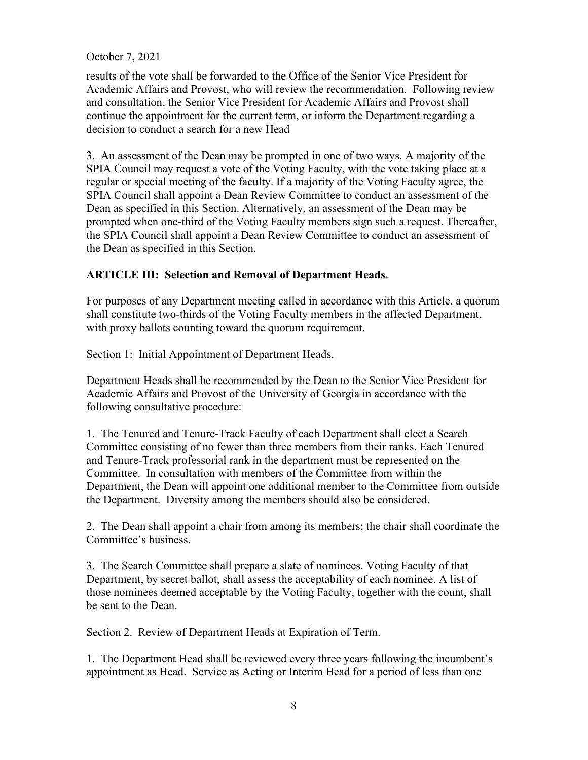results of the vote shall be forwarded to the Office of the Senior Vice President for Academic Affairs and Provost, who will review the recommendation. Following review and consultation, the Senior Vice President for Academic Affairs and Provost shall continue the appointment for the current term, or inform the Department regarding a decision to conduct a search for a new Head

3. An assessment of the Dean may be prompted in one of two ways. A majority of the SPIA Council may request a vote of the Voting Faculty, with the vote taking place at a regular or special meeting of the faculty. If a majority of the Voting Faculty agree, the SPIA Council shall appoint a Dean Review Committee to conduct an assessment of the Dean as specified in this Section. Alternatively, an assessment of the Dean may be prompted when one-third of the Voting Faculty members sign such a request. Thereafter, the SPIA Council shall appoint a Dean Review Committee to conduct an assessment of the Dean as specified in this Section.

# **ARTICLE III: Selection and Removal of Department Heads.**

For purposes of any Department meeting called in accordance with this Article, a quorum shall constitute two-thirds of the Voting Faculty members in the affected Department, with proxy ballots counting toward the quorum requirement.

Section 1: Initial Appointment of Department Heads.

Department Heads shall be recommended by the Dean to the Senior Vice President for Academic Affairs and Provost of the University of Georgia in accordance with the following consultative procedure:

1. The Tenured and Tenure-Track Faculty of each Department shall elect a Search Committee consisting of no fewer than three members from their ranks. Each Tenured and Tenure-Track professorial rank in the department must be represented on the Committee. In consultation with members of the Committee from within the Department, the Dean will appoint one additional member to the Committee from outside the Department. Diversity among the members should also be considered.

2. The Dean shall appoint a chair from among its members; the chair shall coordinate the Committee's business.

3. The Search Committee shall prepare a slate of nominees. Voting Faculty of that Department, by secret ballot, shall assess the acceptability of each nominee. A list of those nominees deemed acceptable by the Voting Faculty, together with the count, shall be sent to the Dean.

Section 2. Review of Department Heads at Expiration of Term.

1. The Department Head shall be reviewed every three years following the incumbent's appointment as Head. Service as Acting or Interim Head for a period of less than one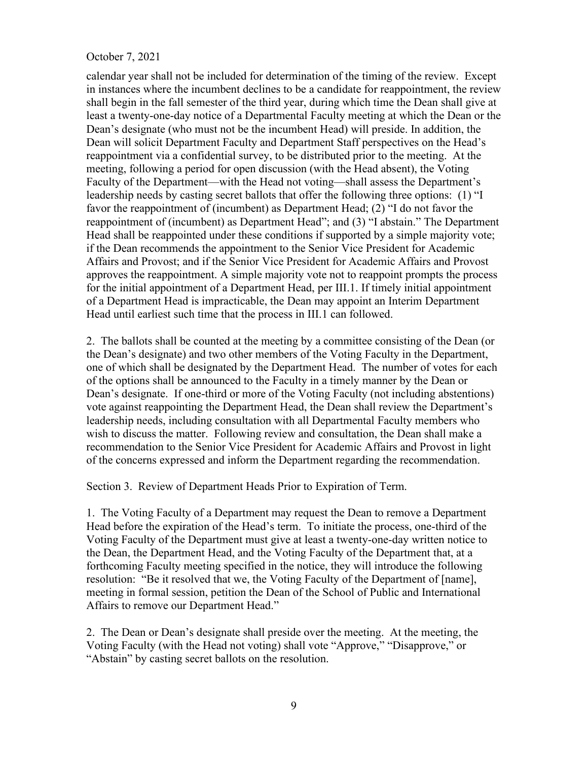calendar year shall not be included for determination of the timing of the review. Except in instances where the incumbent declines to be a candidate for reappointment, the review shall begin in the fall semester of the third year, during which time the Dean shall give at least a twenty-one-day notice of a Departmental Faculty meeting at which the Dean or the Dean's designate (who must not be the incumbent Head) will preside. In addition, the Dean will solicit Department Faculty and Department Staff perspectives on the Head's reappointment via a confidential survey, to be distributed prior to the meeting. At the meeting, following a period for open discussion (with the Head absent), the Voting Faculty of the Department—with the Head not voting—shall assess the Department's leadership needs by casting secret ballots that offer the following three options: (1) "I favor the reappointment of (incumbent) as Department Head; (2) "I do not favor the reappointment of (incumbent) as Department Head"; and (3) "I abstain." The Department Head shall be reappointed under these conditions if supported by a simple majority vote; if the Dean recommends the appointment to the Senior Vice President for Academic Affairs and Provost; and if the Senior Vice President for Academic Affairs and Provost approves the reappointment. A simple majority vote not to reappoint prompts the process for the initial appointment of a Department Head, per III.1. If timely initial appointment of a Department Head is impracticable, the Dean may appoint an Interim Department Head until earliest such time that the process in III.1 can followed.

2. The ballots shall be counted at the meeting by a committee consisting of the Dean (or the Dean's designate) and two other members of the Voting Faculty in the Department, one of which shall be designated by the Department Head. The number of votes for each of the options shall be announced to the Faculty in a timely manner by the Dean or Dean's designate. If one-third or more of the Voting Faculty (not including abstentions) vote against reappointing the Department Head, the Dean shall review the Department's leadership needs, including consultation with all Departmental Faculty members who wish to discuss the matter. Following review and consultation, the Dean shall make a recommendation to the Senior Vice President for Academic Affairs and Provost in light of the concerns expressed and inform the Department regarding the recommendation.

Section 3. Review of Department Heads Prior to Expiration of Term.

1. The Voting Faculty of a Department may request the Dean to remove a Department Head before the expiration of the Head's term. To initiate the process, one-third of the Voting Faculty of the Department must give at least a twenty-one-day written notice to the Dean, the Department Head, and the Voting Faculty of the Department that, at a forthcoming Faculty meeting specified in the notice, they will introduce the following resolution: "Be it resolved that we, the Voting Faculty of the Department of [name], meeting in formal session, petition the Dean of the School of Public and International Affairs to remove our Department Head."

2. The Dean or Dean's designate shall preside over the meeting. At the meeting, the Voting Faculty (with the Head not voting) shall vote "Approve," "Disapprove," or "Abstain" by casting secret ballots on the resolution.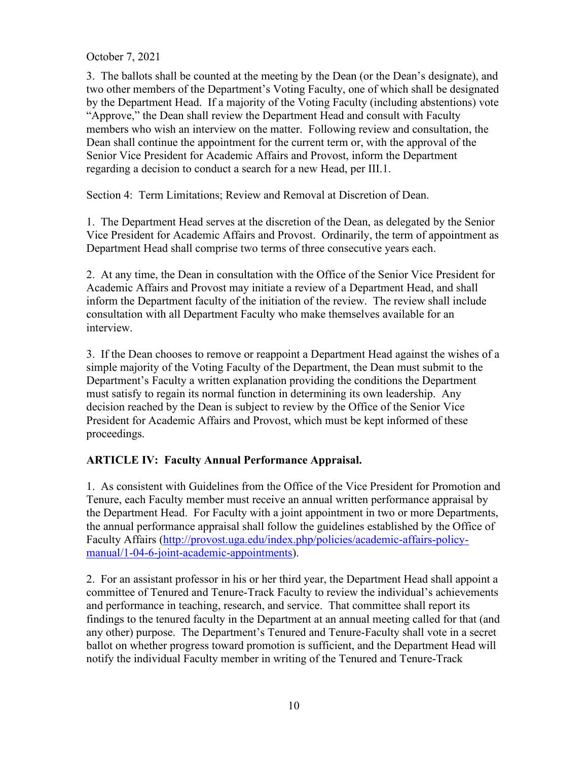3. The ballots shall be counted at the meeting by the Dean (or the Dean's designate), and two other members of the Department's Voting Faculty, one of which shall be designated by the Department Head. If a majority of the Voting Faculty (including abstentions) vote "Approve," the Dean shall review the Department Head and consult with Faculty members who wish an interview on the matter. Following review and consultation, the Dean shall continue the appointment for the current term or, with the approval of the Senior Vice President for Academic Affairs and Provost, inform the Department regarding a decision to conduct a search for a new Head, per III.1.

Section 4: Term Limitations; Review and Removal at Discretion of Dean.

1. The Department Head serves at the discretion of the Dean, as delegated by the Senior Vice President for Academic Affairs and Provost. Ordinarily, the term of appointment as Department Head shall comprise two terms of three consecutive years each.

2. At any time, the Dean in consultation with the Office of the Senior Vice President for Academic Affairs and Provost may initiate a review of a Department Head, and shall inform the Department faculty of the initiation of the review. The review shall include consultation with all Department Faculty who make themselves available for an interview.

3. If the Dean chooses to remove or reappoint a Department Head against the wishes of a simple majority of the Voting Faculty of the Department, the Dean must submit to the Department's Faculty a written explanation providing the conditions the Department must satisfy to regain its normal function in determining its own leadership. Any decision reached by the Dean is subject to review by the Office of the Senior Vice President for Academic Affairs and Provost, which must be kept informed of these proceedings.

# **ARTICLE IV: Faculty Annual Performance Appraisal.**

1. As consistent with Guidelines from the Office of the Vice President for Promotion and Tenure, each Faculty member must receive an annual written performance appraisal by the Department Head. For Faculty with a joint appointment in two or more Departments, the annual performance appraisal shall follow the guidelines established by the Office of Faculty Affairs [\(http://provost.uga.edu/index.php/policies/academic-affairs-policy](http://provost.uga.edu/index.php/policies/academic-affairs-policy-manual/1-04-6-joint-academic-appointments)[manual/1-04-6-joint-academic-appointments\)](http://provost.uga.edu/index.php/policies/academic-affairs-policy-manual/1-04-6-joint-academic-appointments).

2. For an assistant professor in his or her third year, the Department Head shall appoint a committee of Tenured and Tenure-Track Faculty to review the individual's achievements and performance in teaching, research, and service. That committee shall report its findings to the tenured faculty in the Department at an annual meeting called for that (and any other) purpose. The Department's Tenured and Tenure-Faculty shall vote in a secret ballot on whether progress toward promotion is sufficient, and the Department Head will notify the individual Faculty member in writing of the Tenured and Tenure-Track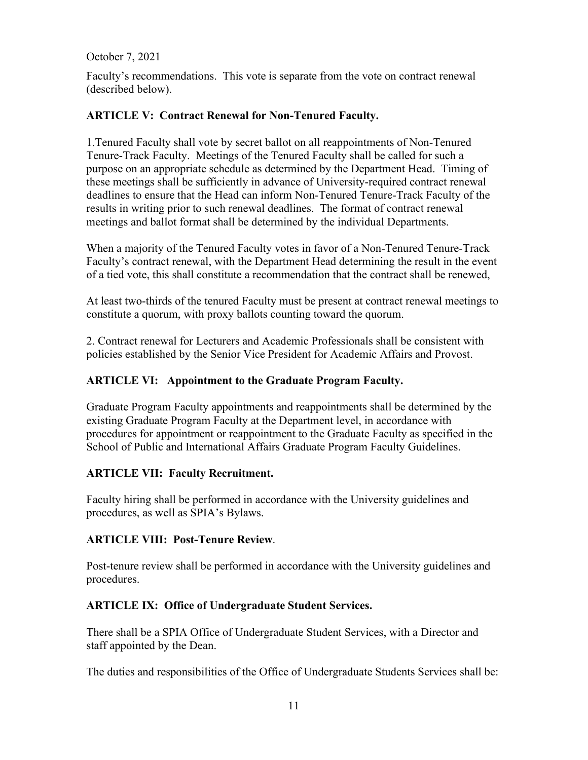Faculty's recommendations. This vote is separate from the vote on contract renewal (described below).

# **ARTICLE V: Contract Renewal for Non-Tenured Faculty.**

1.Tenured Faculty shall vote by secret ballot on all reappointments of Non-Tenured Tenure-Track Faculty. Meetings of the Tenured Faculty shall be called for such a purpose on an appropriate schedule as determined by the Department Head. Timing of these meetings shall be sufficiently in advance of University-required contract renewal deadlines to ensure that the Head can inform Non-Tenured Tenure-Track Faculty of the results in writing prior to such renewal deadlines. The format of contract renewal meetings and ballot format shall be determined by the individual Departments.

When a majority of the Tenured Faculty votes in favor of a Non-Tenured Tenure-Track Faculty's contract renewal, with the Department Head determining the result in the event of a tied vote, this shall constitute a recommendation that the contract shall be renewed,

At least two-thirds of the tenured Faculty must be present at contract renewal meetings to constitute a quorum, with proxy ballots counting toward the quorum.

2. Contract renewal for Lecturers and Academic Professionals shall be consistent with policies established by the Senior Vice President for Academic Affairs and Provost.

# **ARTICLE VI: Appointment to the Graduate Program Faculty.**

Graduate Program Faculty appointments and reappointments shall be determined by the existing Graduate Program Faculty at the Department level, in accordance with procedures for appointment or reappointment to the Graduate Faculty as specified in the School of Public and International Affairs Graduate Program Faculty Guidelines.

# **ARTICLE VII: Faculty Recruitment.**

Faculty hiring shall be performed in accordance with the University guidelines and procedures, as well as SPIA's Bylaws.

# **ARTICLE VIII: Post-Tenure Review**.

Post-tenure review shall be performed in accordance with the University guidelines and procedures.

# **ARTICLE IX: Office of Undergraduate Student Services.**

There shall be a SPIA Office of Undergraduate Student Services, with a Director and staff appointed by the Dean.

The duties and responsibilities of the Office of Undergraduate Students Services shall be: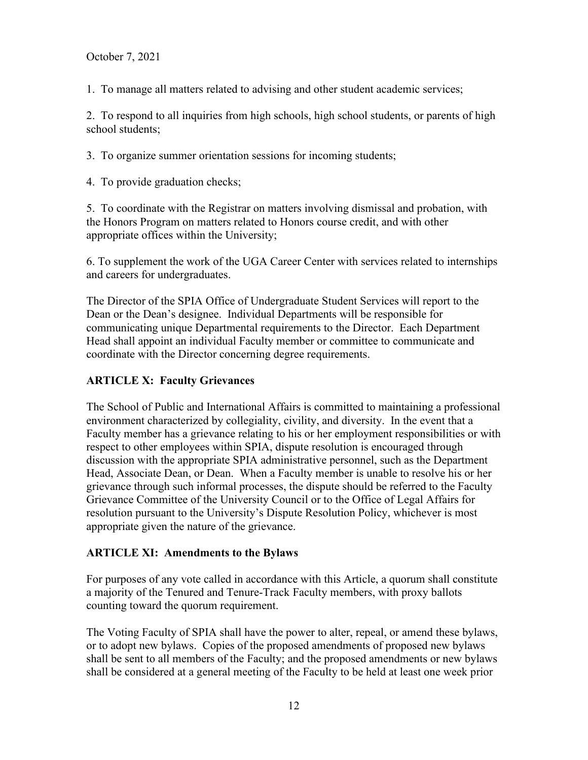1. To manage all matters related to advising and other student academic services;

2. To respond to all inquiries from high schools, high school students, or parents of high school students;

3. To organize summer orientation sessions for incoming students;

4. To provide graduation checks;

5. To coordinate with the Registrar on matters involving dismissal and probation, with the Honors Program on matters related to Honors course credit, and with other appropriate offices within the University;

6. To supplement the work of the UGA Career Center with services related to internships and careers for undergraduates.

The Director of the SPIA Office of Undergraduate Student Services will report to the Dean or the Dean's designee. Individual Departments will be responsible for communicating unique Departmental requirements to the Director. Each Department Head shall appoint an individual Faculty member or committee to communicate and coordinate with the Director concerning degree requirements.

# **ARTICLE X: Faculty Grievances**

The School of Public and International Affairs is committed to maintaining a professional environment characterized by collegiality, civility, and diversity. In the event that a Faculty member has a grievance relating to his or her employment responsibilities or with respect to other employees within SPIA, dispute resolution is encouraged through discussion with the appropriate SPIA administrative personnel, such as the Department Head, Associate Dean, or Dean. When a Faculty member is unable to resolve his or her grievance through such informal processes, the dispute should be referred to the Faculty Grievance Committee of the University Council or to the Office of Legal Affairs for resolution pursuant to the University's Dispute Resolution Policy, whichever is most appropriate given the nature of the grievance.

# **ARTICLE XI: Amendments to the Bylaws**

For purposes of any vote called in accordance with this Article, a quorum shall constitute a majority of the Tenured and Tenure-Track Faculty members, with proxy ballots counting toward the quorum requirement.

The Voting Faculty of SPIA shall have the power to alter, repeal, or amend these bylaws, or to adopt new bylaws. Copies of the proposed amendments of proposed new bylaws shall be sent to all members of the Faculty; and the proposed amendments or new bylaws shall be considered at a general meeting of the Faculty to be held at least one week prior